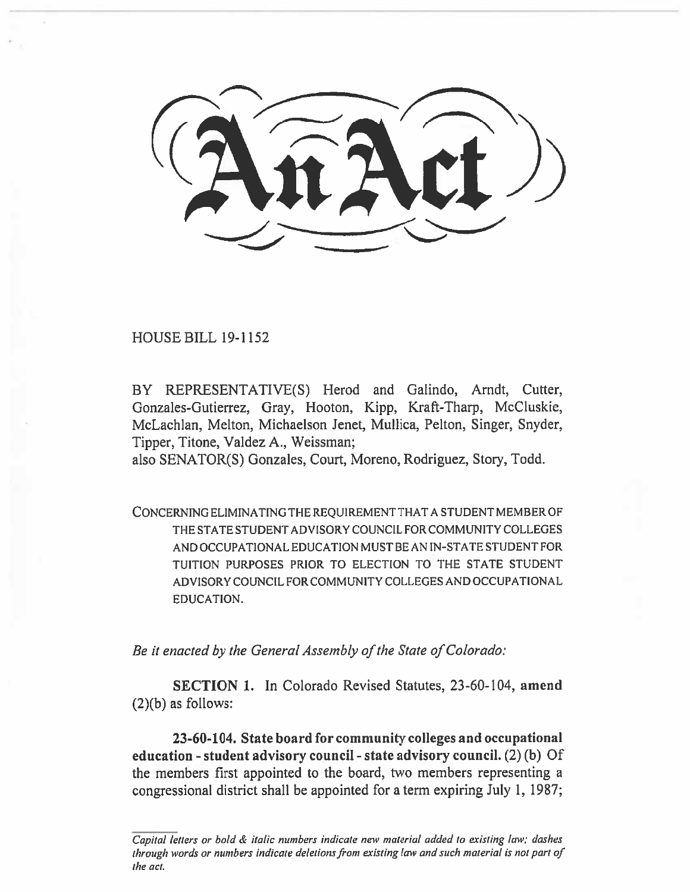HOUSE BILL 19-1152

BY REPRESENTATIVE(S) Herod and Galindo, Arndt, Cutter, Gonzales-Gutierrez, Gray, Hooton, Kipp, Kraft-Tharp, McCluskie, McLachlan, Melton, Michaelson Jenet, Mullica, Felton, Singer, Snyder, Tipper, Titone, Valdez A., Weissman;

also SENATOR(S) Gonzales, Court, Moreno, Rodriguez, Story, Todd.

CONCERNING ELIMINATING THE REQUIREMENT THAT A STUDENT MEMBER OF THE STATE STUDENT ADVISORY COUNCIL FOR COMMUNITY COLLEGES AND OCCUPATIONAL EDUCATION MUST BE AN IN-STATE STUDENT FOR TUITION PURPOSES PRIOR TO ELECTION TO THE STATE STUDENT ADVISORY COUNCIL FOR COMMUNITY COLLEGES AND OCCUPATIONAL EDUCATION.

*Be it enacted by the General Assembly of the State of Colorado:* 

**SECTION 1.** In Colorado Revised Statutes, 23-60-104, **amend**   $(2)(b)$  as follows:

**23-60-104. State board for community colleges and occupational education - student advisory council - state advisory council.** (2) (b) Of the members first appointed to the board, two members representing a congressional district shall be appointed for a term expiring July 1, 1987;

Capital letters or bold & italic numbers indicate new material added to existing law; dashes through words or numbers indicate deletions from existing law and such material is not part of the act.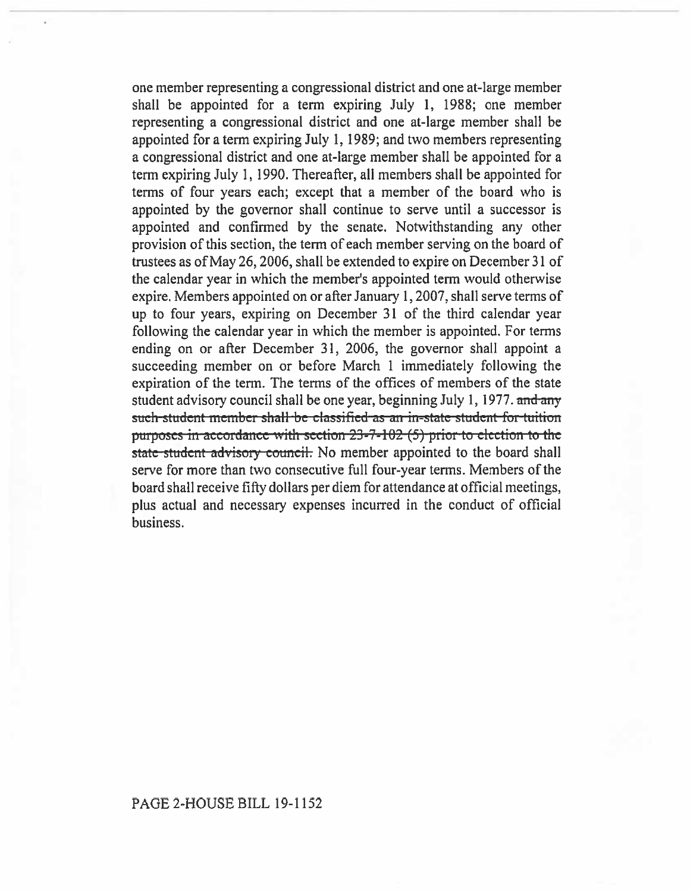one member representing a congressional district and one at-large member shall be appointed for a term expiring July 1, 1988; one member representing a congressional district and one at-large member shall be appointed for a term expiring July 1, 1989; and two members representing a congressional district and one at-large member shall be appointed for a term expiring July 1, 1990. Thereafter, all members shall be appointed for terms of four years each; except that a member of the board who is appointed by the governor shall continue to serve until a successor is appointed and confirmed by the senate. Notwithstanding any other provision of this section, the term of each member serving on the board of trustees as of May 26, 2006, shall be extended to expire on December 31 of the calendar year in which the member's appointed term would otherwise expire. Members appointed on or after January 1, 2007, shall serve terms of up to four years, expiring on December 31 of the third calendar year following the calendar year in which the member is appointed. For terms ending on or after December 31, 2006, the governor shall appoint a succeeding member on or before March 1 immediately following the expiration of the term. The terms of the offices of members of the state student advisory council shall be one year, beginning July 1, 1977. and any such student member shall be classified as an in-state student for tuition purposes in accordance with section 23-7-102 (5) prior to election to the state student advisory council. No member appointed to the board shall serve for more than two consecutive full four-year terms. Members of the board shall receive fifty dollars per diem for attendance at official meetings, plus actual and necessary expenses incurred in the conduct of official business.